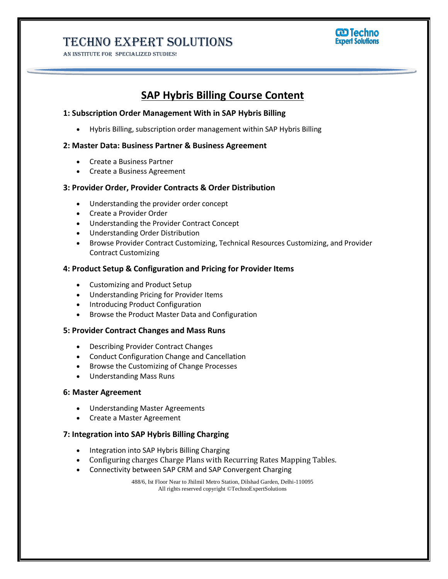# Techno Expert Solutions

AN INSTITUTE FOR SPECIALIZED STUDIES!



## **SAP Hybris Billing Course Content**

#### **1: Subscription Order Management With in SAP Hybris Billing**

Hybris Billing, subscription order management within SAP Hybris Billing

#### **2: Master Data: Business Partner & Business Agreement**

- Create a Business Partner
- Create a Business Agreement

#### **3: Provider Order, Provider Contracts & Order Distribution**

- Understanding the provider order concept
- Create a Provider Order
- Understanding the Provider Contract Concept
- Understanding Order Distribution
- Browse Provider Contract Customizing, Technical Resources Customizing, and Provider Contract Customizing

#### **4: Product Setup & Configuration and Pricing for Provider Items**

- Customizing and Product Setup
- Understanding Pricing for Provider Items
- Introducing Product Configuration
- Browse the Product Master Data and Configuration

#### **5: Provider Contract Changes and Mass Runs**

- Describing Provider Contract Changes
- Conduct Configuration Change and Cancellation
- Browse the Customizing of Change Processes
- Understanding Mass Runs

#### **6: Master Agreement**

- Understanding Master Agreements
- Create a Master Agreement

#### **7: Integration into SAP Hybris Billing Charging**

- Integration into SAP Hybris Billing Charging
- Configuring charges Charge Plans with Recurring Rates Mapping Tables.
- Connectivity between SAP CRM and SAP Convergent Charging

488/6, Ist Floor Near to Jhilmil Metro Station, Dilshad Garden, Delhi-110095 All rights reserved copyright ©TechnoExpertSolutions